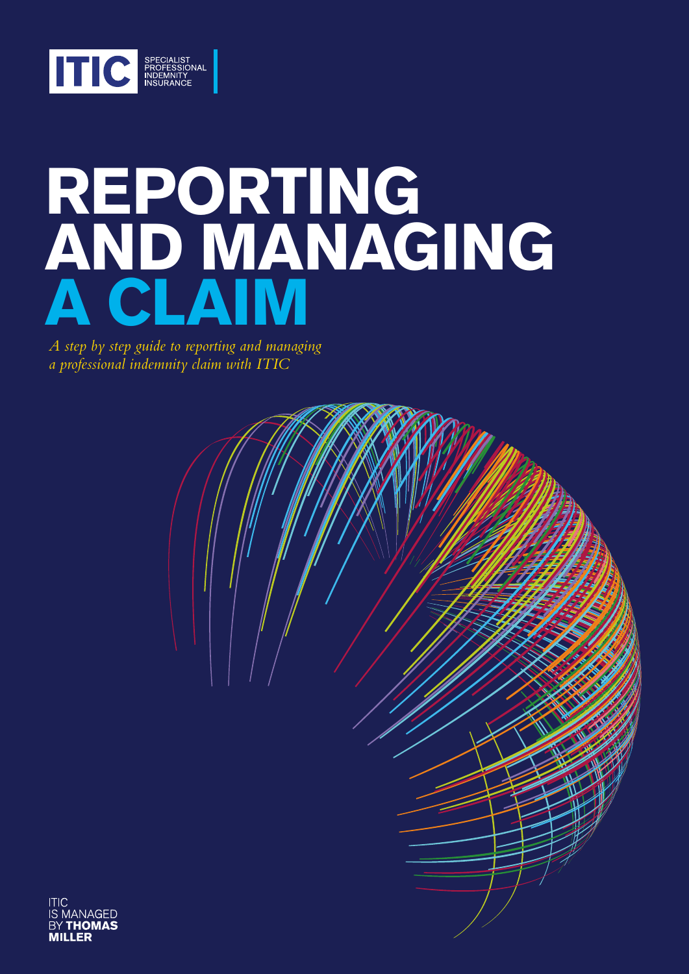

# **REPORTING AND MANAGING A CLAIM**

*A step by step guide to reporting and managing a professional indemnity claim with ITIC*



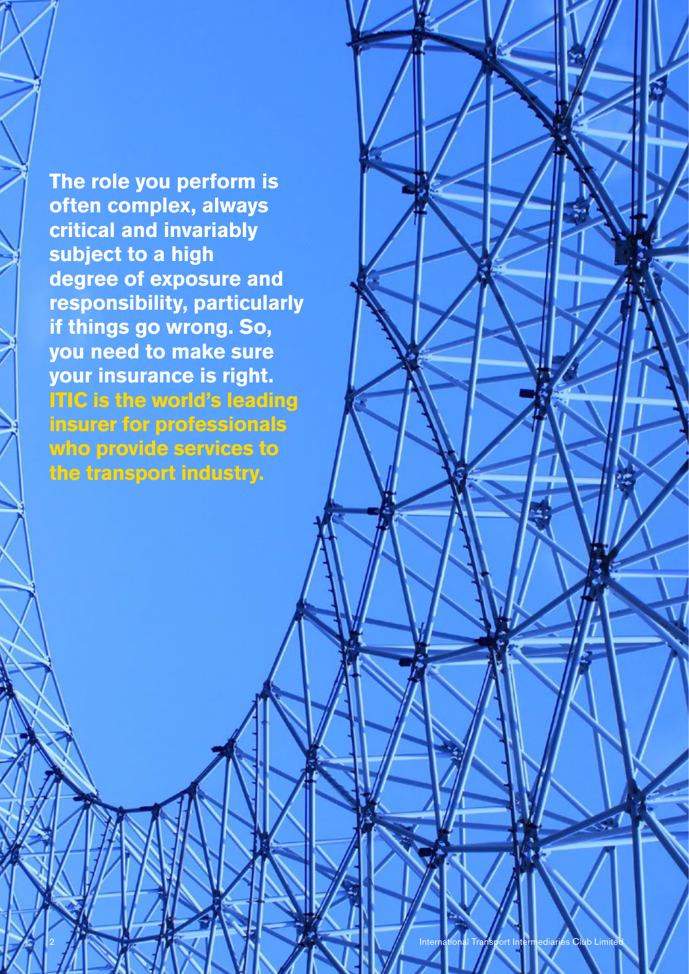**The role you perform is often complex, always critical and invariably subject to a high degree of exposure and responsibility, particularly if things go wrong. So, you need to make sure your insurance is right. ITIC is the world's leading insurer for professionals who provide services to the transport industry.**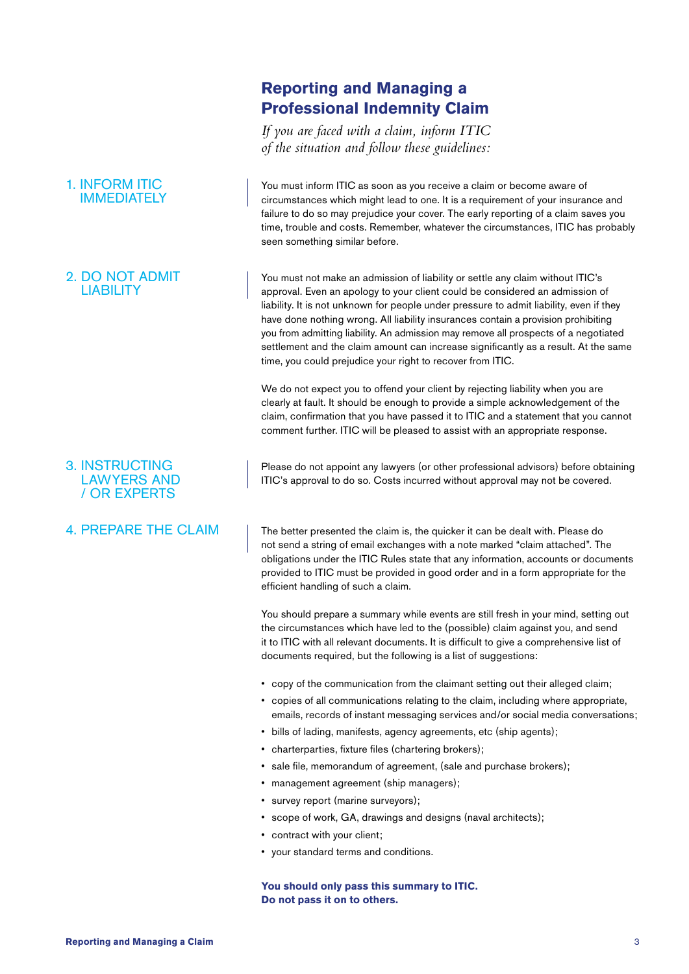## 1. INFORM ITIC IMMEDIATELY

## 2. DO NOT ADMIT LIABILITY

## 3. INSTRUCTING LAWYERS AND / OR EXPERTS

## 4. PREPARE THE CLAIM

## **Reporting and Managing a Professional Indemnity Claim**

*If you are faced with a claim, inform ITIC of the situation and follow these guidelines:*

You must inform ITIC as soon as you receive a claim or become aware of circumstances which might lead to one. It is a requirement of your insurance and failure to do so may prejudice your cover. The early reporting of a claim saves you time, trouble and costs. Remember, whatever the circumstances, ITIC has probably seen something similar before.

You must not make an admission of liability or settle any claim without ITIC's approval. Even an apology to your client could be considered an admission of liability. It is not unknown for people under pressure to admit liability, even if they have done nothing wrong. All liability insurances contain a provision prohibiting you from admitting liability. An admission may remove all prospects of a negotiated settlement and the claim amount can increase significantly as a result. At the same time, you could prejudice your right to recover from ITIC.

We do not expect you to offend your client by rejecting liability when you are clearly at fault. It should be enough to provide a simple acknowledgement of the claim, confirmation that you have passed it to ITIC and a statement that you cannot comment further. ITIC will be pleased to assist with an appropriate response.

Please do not appoint any lawyers (or other professional advisors) before obtaining ITIC's approval to do so. Costs incurred without approval may not be covered.

The better presented the claim is, the quicker it can be dealt with. Please do not send a string of email exchanges with a note marked "claim attached". The obligations under the ITIC Rules state that any information, accounts or documents provided to ITIC must be provided in good order and in a form appropriate for the efficient handling of such a claim.

You should prepare a summary while events are still fresh in your mind, setting out the circumstances which have led to the (possible) claim against you, and send it to ITIC with all relevant documents. It is difficult to give a comprehensive list of documents required, but the following is a list of suggestions:

- copy of the communication from the claimant setting out their alleged claim;
- copies of all communications relating to the claim, including where appropriate, emails, records of instant messaging services and/or social media conversations;
- bills of lading, manifests, agency agreements, etc (ship agents);
- charterparties, fixture files (chartering brokers);
- sale file, memorandum of agreement, (sale and purchase brokers);
- management agreement (ship managers);
- survey report (marine surveyors);
- scope of work, GA, drawings and designs (naval architects);
- contract with your client;
- your standard terms and conditions.

**You should only pass this summary to ITIC. Do not pass it on to others.**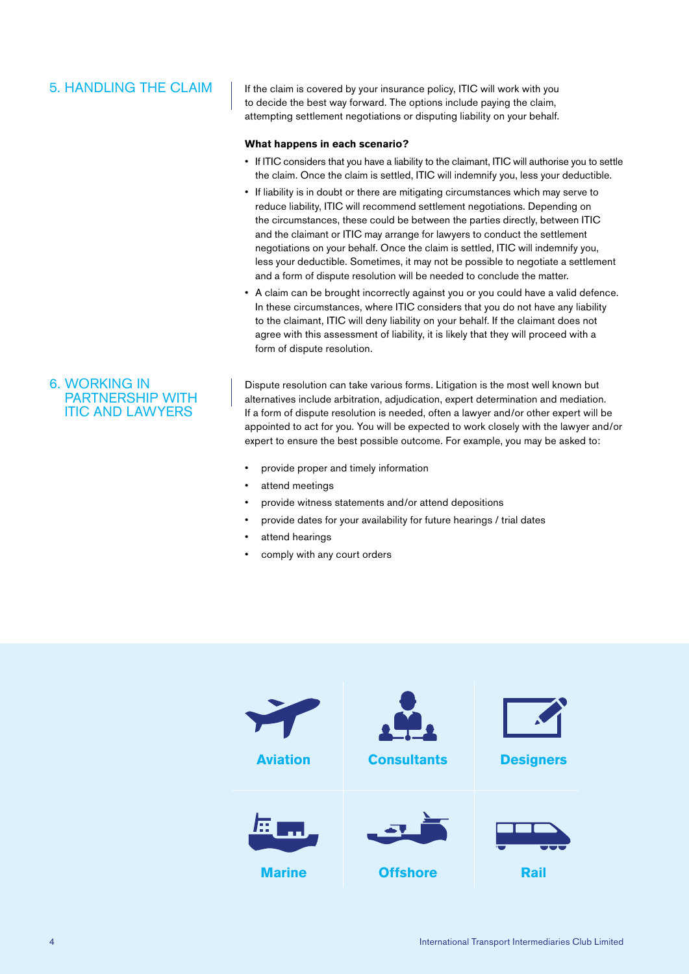## 5. HANDLING THE CLAIM

If the claim is covered by your insurance policy, ITIC will work with you to decide the best way forward. The options include paying the claim, attempting settlement negotiations or disputing liability on your behalf.

#### **What happens in each scenario?**

- If ITIC considers that you have a liability to the claimant, ITIC will authorise you to settle the claim. Once the claim is settled, ITIC will indemnify you, less your deductible.
- If liability is in doubt or there are mitigating circumstances which may serve to reduce liability, ITIC will recommend settlement negotiations. Depending on the circumstances, these could be between the parties directly, between ITIC and the claimant or ITIC may arrange for lawyers to conduct the settlement negotiations on your behalf. Once the claim is settled, ITIC will indemnify you, less your deductible. Sometimes, it may not be possible to negotiate a settlement and a form of dispute resolution will be needed to conclude the matter.
- A claim can be brought incorrectly against you or you could have a valid defence. In these circumstances, where ITIC considers that you do not have any liability to the claimant, ITIC will deny liability on your behalf. If the claimant does not agree with this assessment of liability, it is likely that they will proceed with a form of dispute resolution.

6. WORKING IN PARTNERSHIP WITH ITIC AND LAWYERS

Dispute resolution can take various forms. Litigation is the most well known but alternatives include arbitration, adjudication, expert determination and mediation. If a form of dispute resolution is needed, often a lawyer and/or other expert will be appointed to act for you. You will be expected to work closely with the lawyer and/or expert to ensure the best possible outcome. For example, you may be asked to:

- provide proper and timely information
- attend meetings
- provide witness statements and/or attend depositions
- provide dates for your availability for future hearings / trial dates
- attend hearings
- comply with any court orders

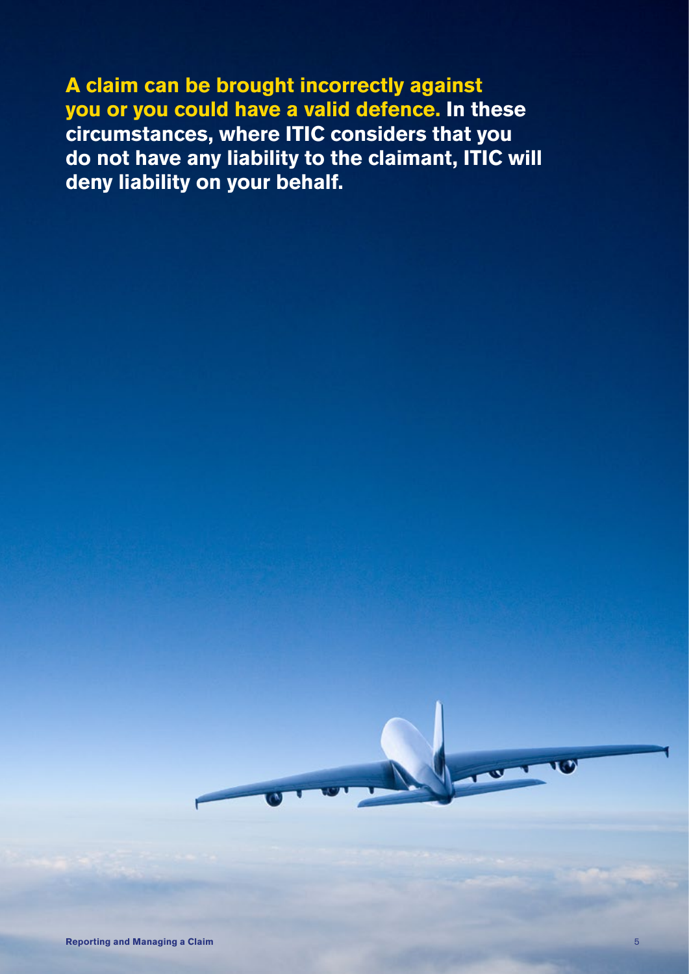**A claim can be brought incorrectly against you or you could have a valid defence. In these circumstances, where ITIC considers that you do not have any liability to the claimant, ITIC will deny liability on your behalf.**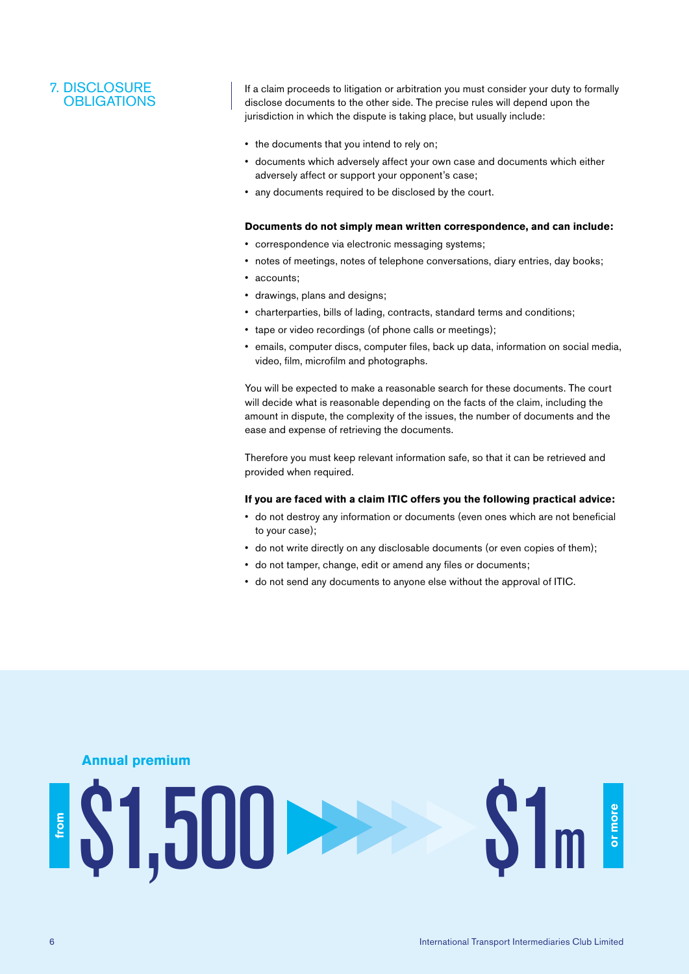## 7. DISCLOSURE **OBLIGATIONS**

If a claim proceeds to litigation or arbitration you must consider your duty to formally disclose documents to the other side. The precise rules will depend upon the jurisdiction in which the dispute is taking place, but usually include:

- the documents that you intend to rely on;
- documents which adversely affect your own case and documents which either adversely affect or support your opponent's case;
- any documents required to be disclosed by the court.

#### **Documents do not simply mean written correspondence, and can include:**

- correspondence via electronic messaging systems;
- notes of meetings, notes of telephone conversations, diary entries, day books;
- accounts;
- drawings, plans and designs;
- charterparties, bills of lading, contracts, standard terms and conditions;
- tape or video recordings (of phone calls or meetings);
- emails, computer discs, computer files, back up data, information on social media, video, film, microfilm and photographs.

You will be expected to make a reasonable search for these documents. The court will decide what is reasonable depending on the facts of the claim, including the amount in dispute, the complexity of the issues, the number of documents and the ease and expense of retrieving the documents.

Therefore you must keep relevant information safe, so that it can be retrieved and provided when required.

#### **If you are faced with a claim ITIC offers you the following practical advice:**

- do not destroy any information or documents (even ones which are not beneficial to your case);
- do not write directly on any disclosable documents (or even copies of them);
- do not tamper, change, edit or amend any files or documents;
- do not send any documents to anyone else without the approval of ITIC.

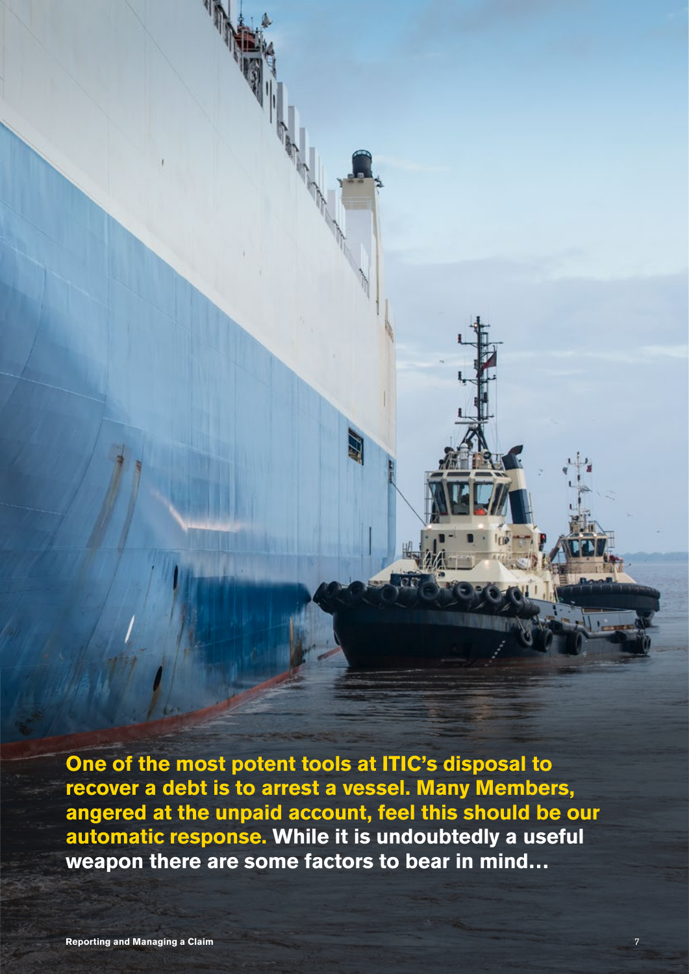**One of the most potent tools at ITIC's disposal to recover a debt is to arrest a vessel. Many Members, angered at the unpaid account, feel this should be our automatic response. While it is undoubtedly a useful weapon there are some factors to bear in mind…**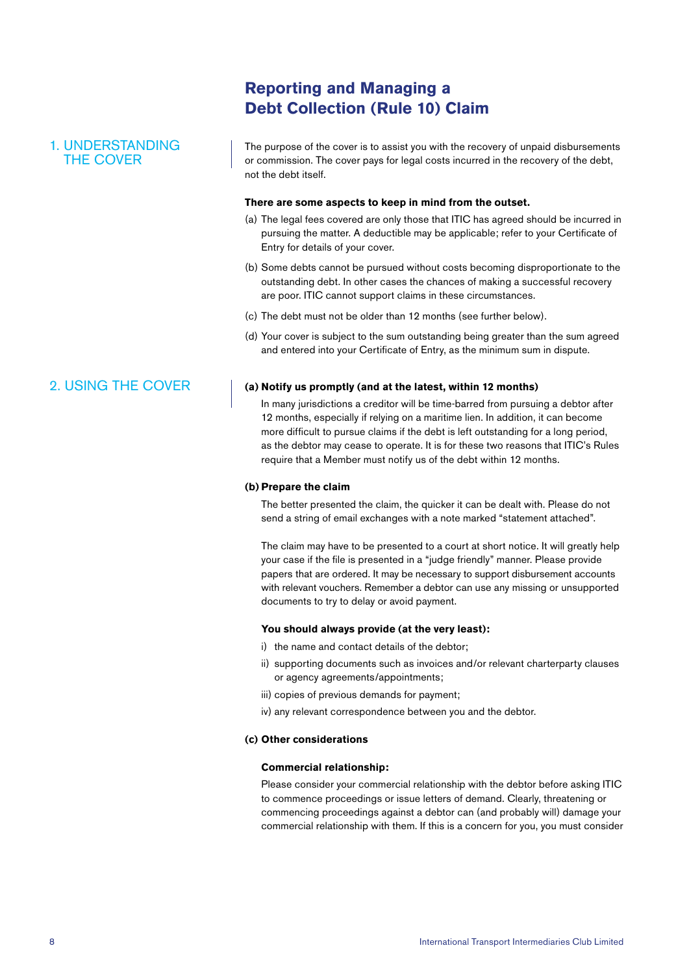## 1. UNDERSTANDING THE COVER

**Reporting and Managing a Debt Collection (Rule 10) Claim**

The purpose of the cover is to assist you with the recovery of unpaid disbursements or commission. The cover pays for legal costs incurred in the recovery of the debt, not the debt itself.

#### **There are some aspects to keep in mind from the outset.**

- (a) The legal fees covered are only those that ITIC has agreed should be incurred in pursuing the matter. A deductible may be applicable; refer to your Certificate of Entry for details of your cover.
- (b) Some debts cannot be pursued without costs becoming disproportionate to the outstanding debt. In other cases the chances of making a successful recovery are poor. ITIC cannot support claims in these circumstances.
- (c) The debt must not be older than 12 months (see further below).
- (d) Your cover is subject to the sum outstanding being greater than the sum agreed and entered into your Certificate of Entry, as the minimum sum in dispute.

### **(a) Notify us promptly (and at the latest, within 12 months)**

 In many jurisdictions a creditor will be time-barred from pursuing a debtor after 12 months, especially if relying on a maritime lien. In addition, it can become more difficult to pursue claims if the debt is left outstanding for a long period, as the debtor may cease to operate. It is for these two reasons that ITIC's Rules require that a Member must notify us of the debt within 12 months.

#### **(b) Prepare the claim**

 The better presented the claim, the quicker it can be dealt with. Please do not send a string of email exchanges with a note marked "statement attached".

 The claim may have to be presented to a court at short notice. It will greatly help your case if the file is presented in a "judge friendly" manner. Please provide papers that are ordered. It may be necessary to support disbursement accounts with relevant vouchers. Remember a debtor can use any missing or unsupported documents to try to delay or avoid payment.

#### **You should always provide (at the very least):**

- i) the name and contact details of the debtor;
- ii) supporting documents such as invoices and/or relevant charterparty clauses or agency agreements/appointments;
- iii) copies of previous demands for payment;
- iv) any relevant correspondence between you and the debtor.

#### **(c) Other considerations**

#### **Commercial relationship:**

 Please consider your commercial relationship with the debtor before asking ITIC to commence proceedings or issue letters of demand. Clearly, threatening or commencing proceedings against a debtor can (and probably will) damage your commercial relationship with them. If this is a concern for you, you must consider

## 2. USING THE COVER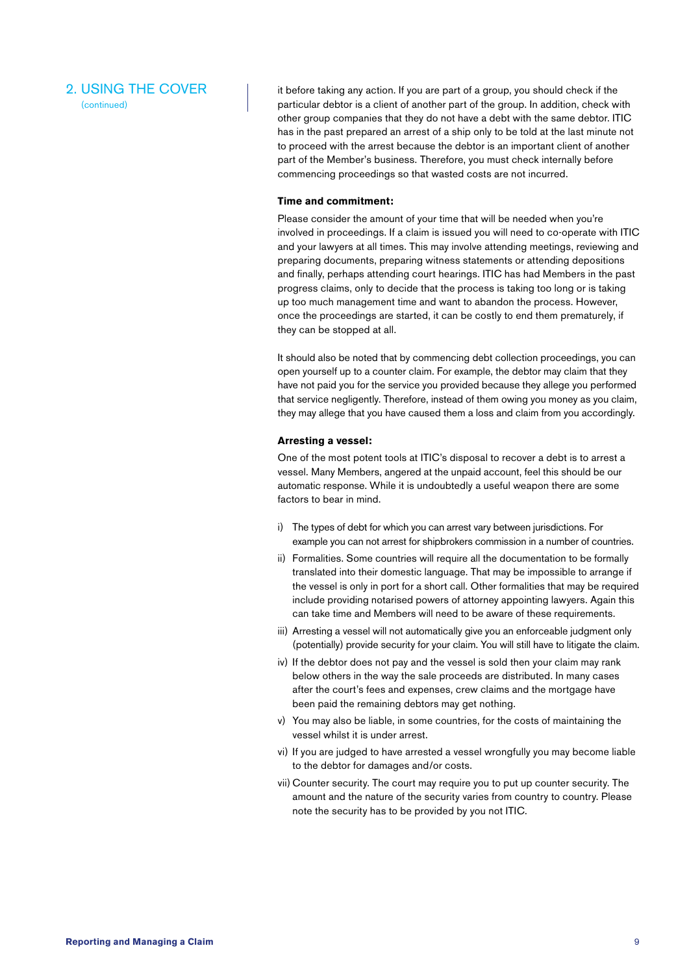## 2. USING THE COVER

(continued)

it before taking any action. If you are part of a group, you should check if the particular debtor is a client of another part of the group. In addition, check with other group companies that they do not have a debt with the same debtor. ITIC has in the past prepared an arrest of a ship only to be told at the last minute not to proceed with the arrest because the debtor is an important client of another part of the Member's business. Therefore, you must check internally before commencing proceedings so that wasted costs are not incurred.

#### **Time and commitment:**

 Please consider the amount of your time that will be needed when you're involved in proceedings. If a claim is issued you will need to co-operate with ITIC and your lawyers at all times. This may involve attending meetings, reviewing and preparing documents, preparing witness statements or attending depositions and finally, perhaps attending court hearings. ITIC has had Members in the past progress claims, only to decide that the process is taking too long or is taking up too much management time and want to abandon the process. However, once the proceedings are started, it can be costly to end them prematurely, if they can be stopped at all.

 It should also be noted that by commencing debt collection proceedings, you can open yourself up to a counter claim. For example, the debtor may claim that they have not paid you for the service you provided because they allege you performed that service negligently. Therefore, instead of them owing you money as you claim, they may allege that you have caused them a loss and claim from you accordingly.

#### **Arresting a vessel:**

 One of the most potent tools at ITIC's disposal to recover a debt is to arrest a vessel. Many Members, angered at the unpaid account, feel this should be our automatic response. While it is undoubtedly a useful weapon there are some factors to bear in mind.

- i) The types of debt for which you can arrest vary between jurisdictions. For example you can not arrest for shipbrokers commission in a number of countries.
- ii) Formalities. Some countries will require all the documentation to be formally translated into their domestic language. That may be impossible to arrange if the vessel is only in port for a short call. Other formalities that may be required include providing notarised powers of attorney appointing lawyers. Again this can take time and Members will need to be aware of these requirements.
- iii) Arresting a vessel will not automatically give you an enforceable judgment only (potentially) provide security for your claim. You will still have to litigate the claim.
- iv) If the debtor does not pay and the vessel is sold then your claim may rank below others in the way the sale proceeds are distributed. In many cases after the court's fees and expenses, crew claims and the mortgage have been paid the remaining debtors may get nothing.
- v) You may also be liable, in some countries, for the costs of maintaining the vessel whilst it is under arrest.
- vi) If you are judged to have arrested a vessel wrongfully you may become liable to the debtor for damages and/or costs.
- vii) Counter security. The court may require you to put up counter security. The amount and the nature of the security varies from country to country. Please note the security has to be provided by you not ITIC.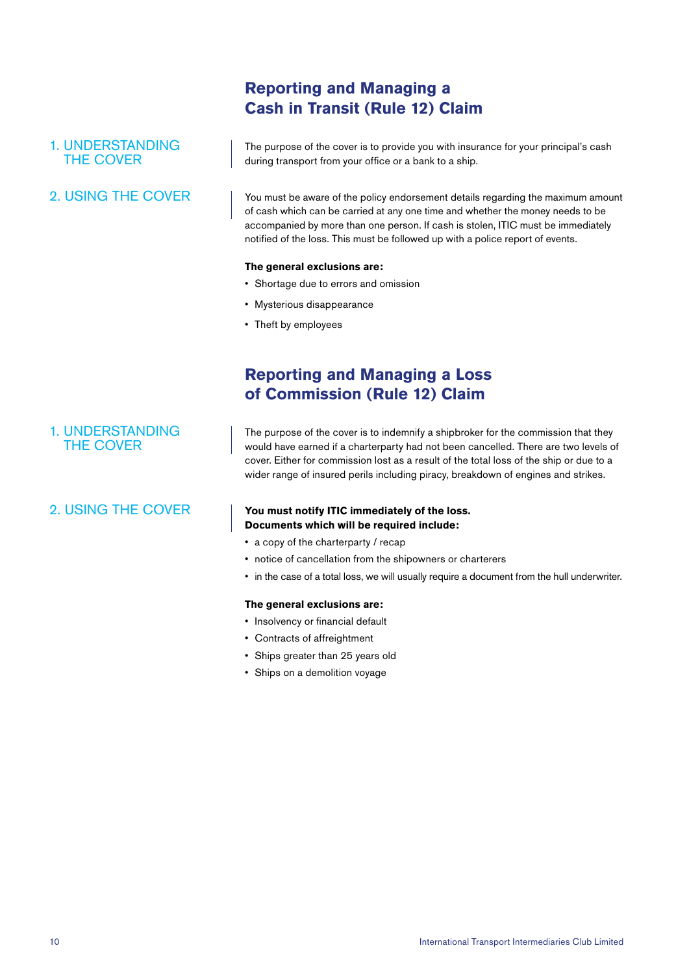## **Reporting and Managing a Cash in Transit (Rule 12) Claim**

## 1. UNDERSTANDING THE COVER

## 2. USING THE COVER

The purpose of the cover is to provide you with insurance for your principal's cash during transport from your office or a bank to a ship.

You must be aware of the policy endorsement details regarding the maximum amount of cash which can be carried at any one time and whether the money needs to be accompanied by more than one person. If cash is stolen, ITIC must be immediately notified of the loss. This must be followed up with a police report of events.

#### **The general exclusions are:**

- Shortage due to errors and omission
- Mysterious disappearance
- Theft by employees

## **Reporting and Managing a Loss of Commission (Rule 12) Claim**

## 1. UNDERSTANDING THE COVER

## 2. USING THE COVER

The purpose of the cover is to indemnify a shipbroker for the commission that they would have earned if a charterparty had not been cancelled. There are two levels of cover. Either for commission lost as a result of the total loss of the ship or due to a wider range of insured perils including piracy, breakdown of engines and strikes.

### **You must notify ITIC immediately of the loss. Documents which will be required include:**

- a copy of the charterparty / recap
- notice of cancellation from the shipowners or charterers
- in the case of a total loss, we will usually require a document from the hull underwriter.

#### **The general exclusions are:**

- Insolvency or financial default
- Contracts of affreightment
- Ships greater than 25 years old
- Ships on a demolition voyage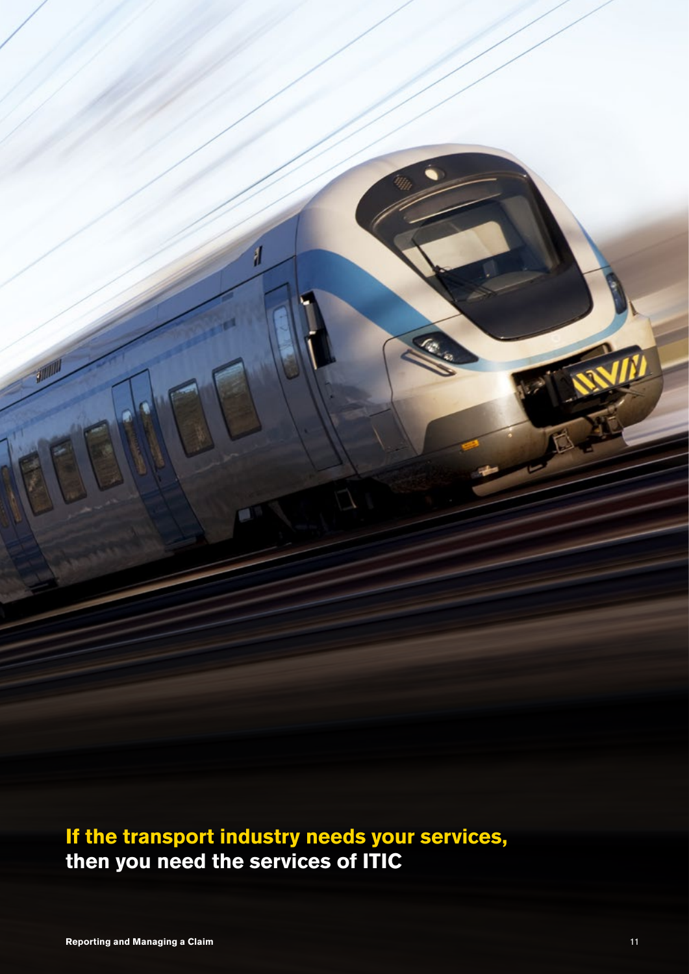**If the transport industry needs your services, then you need the services of ITIC**

1

n.